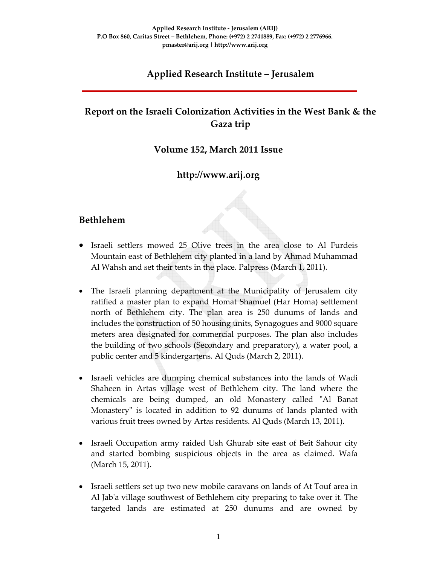# **Applied Research Institute – Jerusalem**

# **Report on the Israeli Colonization Activities in the West Bank & the Gaza trip**

#### **Volume 152, March 2011 Issue**

## **http://www.arij.org**

#### **Bethlehem**

- Israeli settlers mowed 25 Olive trees in the area close to Al Furdeis Mountain east of Bethlehem city planted in a land by Ahmad Muhammad Al Wahsh and set their tents in the place. Palpress (March 1, 2011).
- The Israeli planning department at the Municipality of Jerusalem city ratified a master plan to expand Homat Shamuel (Har Homa) settlement north of Bethlehem city. The plan area is 250 dunums of lands and includes the construction of 50 housing units, Synagogues and 9000 square meters area designated for commercial purposes. The plan also includes the building of two schools (Secondary and preparatory), a water pool, a public center and 5 kindergartens. Al Quds (March 2, 2011).
- Israeli vehicles are dumping chemical substances into the lands of Wadi Shaheen in Artas village west of Bethlehem city. The land where the chemicals are being dumped, an old Monastery called "Al Banat Monastery is located in addition to 92 dunums of lands planted with various fruit trees owned by Artas residents. Al Quds (March 13, 2011).
- Israeli Occupation army raided Ush Ghurab site east of Beit Sahour city and started bombing suspicious objects in the area as claimed. Wafa (March 15, 2011).
- Israeli settlers set up two new mobile caravans on lands of At Touf area in Al Jabʹa village southwest of Bethlehem city preparing to take over it. The targeted lands are estimated at 250 dunums and are owned by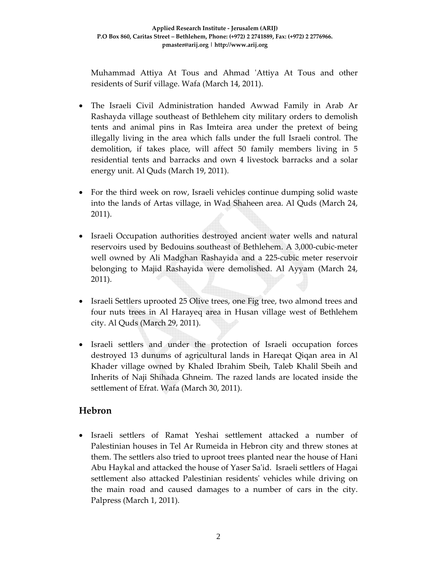Muhammad Attiya At Tous and Ahmad 'Attiya At Tous and other residents of Surif village. Wafa (March 14, 2011).

- The Israeli Civil Administration handed Awwad Family in Arab Ar Rashayda village southeast of Bethlehem city military orders to demolish tents and animal pins in Ras Imteira area under the pretext of being illegally living in the area which falls under the full Israeli control. The demolition, if takes place, will affect 50 family members living in 5 residential tents and barracks and own 4 livestock barracks and a solar energy unit. Al Quds (March 19, 2011).
- For the third week on row, Israeli vehicles continue dumping solid waste into the lands of Artas village, in Wad Shaheen area. Al Quds (March 24, 2011).
- Israeli Occupation authorities destroyed ancient water wells and natural reservoirs used by Bedouins southeast of Bethlehem. A 3,000‐cubic‐meter well owned by Ali Madghan Rashayida and a 225‐cubic meter reservoir belonging to Majid Rashayida were demolished. Al Ayyam (March 24, 2011).
- Israeli Settlers uprooted 25 Olive trees, one Fig tree, two almond trees and four nuts trees in Al Harayeq area in Husan village west of Bethlehem city. Al Quds (March 29, 2011).
- Israeli settlers and under the protection of Israeli occupation forces destroyed 13 dunums of agricultural lands in Hareqat Qiqan area in Al Khader village owned by Khaled Ibrahim Sbeih, Taleb Khalil Sbeih and Inherits of Naji Shihada Ghneim. The razed lands are located inside the settlement of Efrat. Wafa (March 30, 2011).

### **Hebron**

• Israeli settlers of Ramat Yeshai settlement attacked a number of Palestinian houses in Tel Ar Rumeida in Hebron city and threw stones at them. The settlers also tried to uproot trees planted near the house of Hani Abu Haykal and attacked the house of Yaser Sa'id. Israeli settlers of Hagai settlement also attacked Palestinian residentsʹ vehicles while driving on the main road and caused damages to a number of cars in the city. Palpress (March 1, 2011).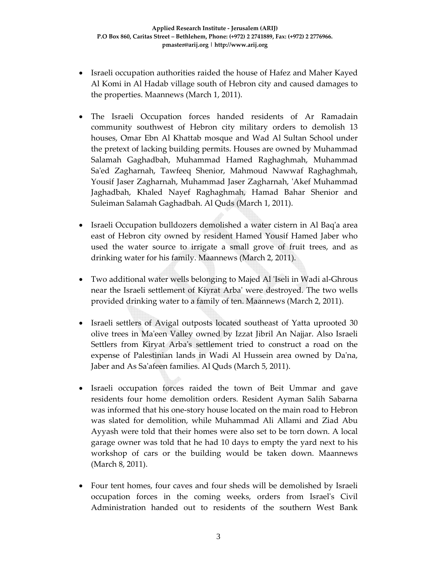- Israeli occupation authorities raided the house of Hafez and Maher Kayed Al Komi in Al Hadab village south of Hebron city and caused damages to the properties. Maannews (March 1, 2011).
- The Israeli Occupation forces handed residents of Ar Ramadain community southwest of Hebron city military orders to demolish 13 houses, Omar Ebn Al Khattab mosque and Wad Al Sultan School under the pretext of lacking building permits. Houses are owned by Muhammad Salamah Gaghadbah, Muhammad Hamed Raghaghmah, Muhammad Saʹed Zagharnah, Tawfeeq Shenior, Mahmoud Nawwaf Raghaghmah, Yousif Jaser Zagharnah, Muhammad Jaser Zagharnah, ʹAkef Muhammad Jaghadbah, Khaled Nayef Raghaghmah, Hamad Bahar Shenior and Suleiman Salamah Gaghadbah. Al Quds (March 1, 2011).
- Israeli Occupation bulldozers demolished a water cistern in Al Baq'a area east of Hebron city owned by resident Hamed Yousif Hamed Jaber who used the water source to irrigate a small grove of fruit trees, and as drinking water for his family. Maannews (March 2, 2011).
- Two additional water wells belonging to Majed Al 'Iseli in Wadi al-Ghrous near the Israeli settlement of Kiyrat Arbaʹ were destroyed. The two wells provided drinking water to a family of ten. Maannews (March 2, 2011).
- Israeli settlers of Avigal outposts located southeast of Yatta uprooted 30 olive trees in Maʹeen Valley owned by Izzat Jibril An Najjar. Also Israeli Settlers from Kiryat Arba's settlement tried to construct a road on the expense of Palestinian lands in Wadi Al Hussein area owned by Daʹna, Jaber and As Saʹafeen families. Al Quds (March 5, 2011).
- Israeli occupation forces raided the town of Beit Ummar and gave residents four home demolition orders. Resident Ayman Salih Sabarna was informed that his one‐story house located on the main road to Hebron was slated for demolition, while Muhammad Ali Allami and Ziad Abu Ayyash were told that their homes were also set to be torn down. A local garage owner was told that he had 10 days to empty the yard next to his workshop of cars or the building would be taken down. Maannews (March 8, 2011).
- Four tent homes, four caves and four sheds will be demolished by Israeli occupation forces in the coming weeks, orders from Israelʹs Civil Administration handed out to residents of the southern West Bank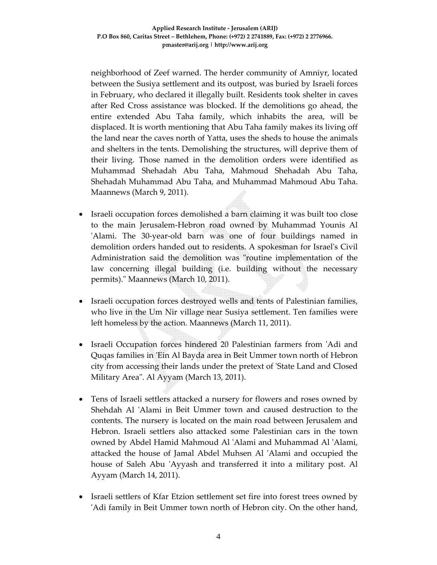neighborhood of Zeef warned. The herder community of Amniyr, located between the Susiya settlement and its outpost, was buried by Israeli forces in February, who declared it illegally built. Residents took shelter in caves after Red Cross assistance was blocked. If the demolitions go ahead, the entire extended Abu Taha family, which inhabits the area, will be displaced. It is worth mentioning that Abu Taha family makes its living off the land near the caves north of Yatta, uses the sheds to house the animals and shelters in the tents. Demolishing the structures, will deprive them of their living. Those named in the demolition orders were identified as Muhammad Shehadah Abu Taha, Mahmoud Shehadah Abu Taha, Shehadah Muhammad Abu Taha, and Muhammad Mahmoud Abu Taha. Maannews (March 9, 2011).

- Israeli occupation forces demolished a barn claiming it was built too close to the main Jerusalem‐Hebron road owned by Muhammad Younis Al 'Alami. The 30-year-old barn was one of four buildings named in demolition orders handed out to residents. A spokesman for Israelʹs Civil Administration said the demolition was "routine implementation of the law concerning illegal building (i.e. building without the necessary permits)." Maannews (March 10, 2011).
- Israeli occupation forces destroyed wells and tents of Palestinian families, who live in the Um Nir village near Susiya settlement. Ten families were left homeless by the action. Maannews (March 11, 2011).
- Israeli Occupation forces hindered 20 Palestinian farmers from ʹAdi and Quqas families in 'Ein Al Bayda area in Beit Ummer town north of Hebron city from accessing their lands under the pretext of ʹState Land and Closed Military Area". Al Ayyam (March 13, 2011).
- Tens of Israeli settlers attacked a nursery for flowers and roses owned by Shehdah Al 'Alami in Beit Ummer town and caused destruction to the contents. The nursery is located on the main road between Jerusalem and Hebron. Israeli settlers also attacked some Palestinian cars in the town owned by Abdel Hamid Mahmoud Al ʹAlami and Muhammad Al ʹAlami, attacked the house of Jamal Abdel Muhsen Al ʹAlami and occupied the house of Saleh Abu 'Ayyash and transferred it into a military post. Al Ayyam (March 14, 2011).
- Israeli settlers of Kfar Etzion settlement set fire into forest trees owned by ʹAdi family in Beit Ummer town north of Hebron city. On the other hand,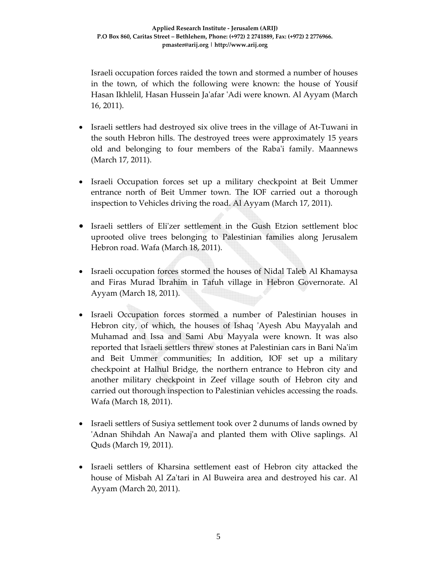Israeli occupation forces raided the town and stormed a number of houses in the town, of which the following were known: the house of Yousif Hasan Ikhlelil, Hasan Hussein Jaʹafar ʹAdi were known. Al Ayyam (March 16, 2011).

- Israeli settlers had destroyed six olive trees in the village of At-Tuwani in the south Hebron hills. The destroyed trees were approximately 15 years old and belonging to four members of the Rabaʹi family. Maannews (March 17, 2011).
- Israeli Occupation forces set up a military checkpoint at Beit Ummer entrance north of Beit Ummer town. The IOF carried out a thorough inspection to Vehicles driving the road. Al Ayyam (March 17, 2011).
- Israeli settlers of Eli'zer settlement in the Gush Etzion settlement bloc uprooted olive trees belonging to Palestinian families along Jerusalem Hebron road. Wafa (March 18, 2011).
- Israeli occupation forces stormed the houses of Nidal Taleb Al Khamaysa and Firas Murad Ibrahim in Tafuh village in Hebron Governorate. Al Ayyam (March 18, 2011).
- Israeli Occupation forces stormed a number of Palestinian houses in Hebron city, of which, the houses of Ishaq 'Ayesh Abu Mayyalah and Muhamad and Issa and Sami Abu Mayyala were known. It was also reported that Israeli settlers threw stones at Palestinian cars in Bani Naʹim and Beit Ummer communities; In addition, IOF set up a military checkpoint at Halhul Bridge, the northern entrance to Hebron city and another military checkpoint in Zeef village south of Hebron city and carried out thorough inspection to Palestinian vehicles accessing the roads. Wafa (March 18, 2011).
- Israeli settlers of Susiya settlement took over 2 dunums of lands owned by ʹAdnan Shihdah An Nawajʹa and planted them with Olive saplings. Al Quds (March 19, 2011).
- Israeli settlers of Kharsina settlement east of Hebron city attacked the house of Misbah Al Zaʹtari in Al Buweira area and destroyed his car. Al Ayyam (March 20, 2011).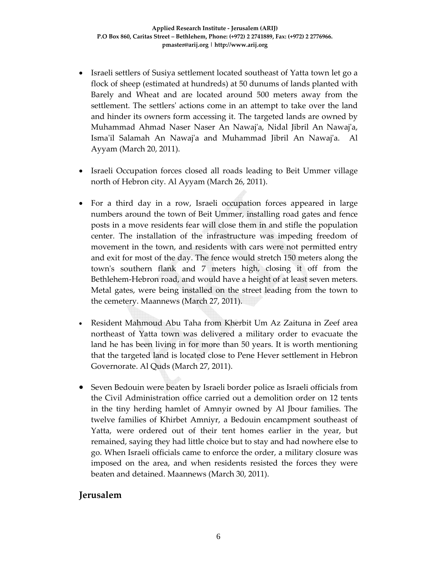- Israeli settlers of Susiya settlement located southeast of Yatta town let go a flock of sheep (estimated at hundreds) at 50 dunums of lands planted with Barely and Wheat and are located around 500 meters away from the settlement. The settlersʹ actions come in an attempt to take over the land and hinder its owners form accessing it. The targeted lands are owned by Muhammad Ahmad Naser Naser An Nawajʹa, Nidal Jibril An Nawajʹa, Isma'il Salamah An Nawaj'a and Muhammad Jibril An Nawaj'a. Al Ayyam (March 20, 2011).
- Israeli Occupation forces closed all roads leading to Beit Ummer village north of Hebron city. Al Ayyam (March 26, 2011).
- For a third day in a row, Israeli occupation forces appeared in large numbers around the town of Beit Ummer, installing road gates and fence posts in a move residents fear will close them in and stifle the population center. The installation of the infrastructure was impeding freedom of movement in the town, and residents with cars were not permitted entry and exit for most of the day. The fence would stretch 150 meters along the townʹs southern flank and 7 meters high, closing it off from the Bethlehem-Hebron road, and would have a height of at least seven meters. Metal gates, were being installed on the street leading from the town to the cemetery. Maannews (March 27, 2011).
- Resident Mahmoud Abu Taha from Kherbit Um Az Zaituna in Zeef area northeast of Yatta town was delivered a military order to evacuate the land he has been living in for more than 50 years. It is worth mentioning that the targeted land is located close to Pene Hever settlement in Hebron Governorate. Al Quds (March 27, 2011).
- Seven Bedouin were beaten by Israeli border police as Israeli officials from the Civil Administration office carried out a demolition order on 12 tents in the tiny herding hamlet of Amnyir owned by Al Jbour families. The twelve families of Khirbet Amniyr, a Bedouin encampment southeast of Yatta, were ordered out of their tent homes earlier in the year, but remained, saying they had little choice but to stay and had nowhere else to go. When Israeli officials came to enforce the order, a military closure was imposed on the area, and when residents resisted the forces they were beaten and detained. Maannews (March 30, 2011).

#### **Jerusalem**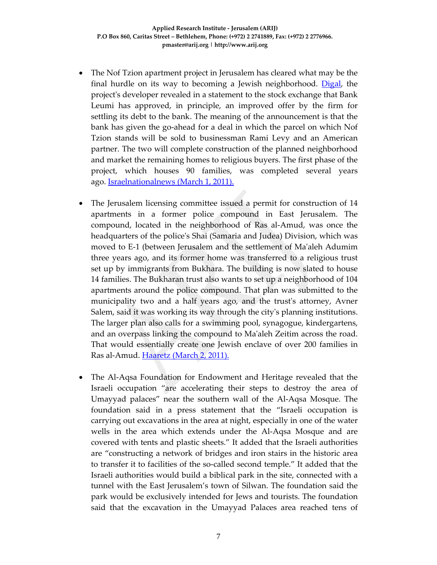- The Nof Tzion apartment project in Jerusalem has cleared what may be the final hurdle on its way to becoming a Jewish neighborhood. Digal, the project's developer revealed in a statement to the stock exchange that Bank Leumi has approved, in principle, an improved offer by the firm for settling its debt to the bank. The meaning of the announcement is that the bank has given the go‐ahead for a deal in which the parcel on which Nof Tzion stands will be sold to businessman Rami Levy and an American partner. The two will complete construction of the planned neighborhood and market the remaining homes to religious buyers. The first phase of the project, which houses 90 families, was completed several years ago. Israelnationalnews (March 1, 2011).
- The Jerusalem licensing committee issued a permit for construction of 14 apartments in a former police compound in East Jerusalem. The compound, located in the neighborhood of Ras al‐Amud, was once the headquarters of the policeʹs Shai (Samaria and Judea) Division, which was moved to E-1 (between Jerusalem and the settlement of Ma'aleh Adumim three years ago, and its former home was transferred to a religious trust set up by immigrants from Bukhara. The building is now slated to house 14 families. The Bukharan trust also wants to set up a neighborhood of 104 apartments around the police compound. That plan was submitted to the municipality two and a half years ago, and the trust's attorney, Avner Salem, said it was working its way through the cityʹs planning institutions. The larger plan also calls for a swimming pool, synagogue, kindergartens, and an overpass linking the compound to Maʹaleh Zeitim across the road. That would essentially create one Jewish enclave of over 200 families in Ras al-Amud. Haaretz (March 2, 2011).
- The Al‐Aqsa Foundation for Endowment and Heritage revealed that the Israeli occupation "are accelerating their steps to destroy the area of Umayyad palaces" near the southern wall of the Al‐Aqsa Mosque. The foundation said in a press statement that the "Israeli occupation is carrying out excavations in the area at night, especially in one of the water wells in the area which extends under the Al‐Aqsa Mosque and are covered with tents and plastic sheets." It added that the Israeli authorities are "constructing a network of bridges and iron stairs in the historic area to transfer it to facilities of the so‐called second temple." It added that the Israeli authorities would build a biblical park in the site, connected with a tunnel with the East Jerusalem's town of Silwan. The foundation said the park would be exclusively intended for Jews and tourists. The foundation said that the excavation in the Umayyad Palaces area reached tens of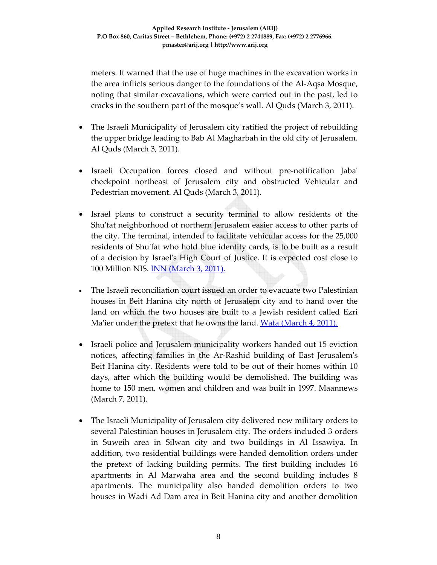meters. It warned that the use of huge machines in the excavation works in the area inflicts serious danger to the foundations of the Al‐Aqsa Mosque, noting that similar excavations, which were carried out in the past, led to cracks in the southern part of the mosque's wall. Al Quds (March 3, 2011).

- The Israeli Municipality of Jerusalem city ratified the project of rebuilding the upper bridge leading to Bab Al Magharbah in the old city of Jerusalem. Al Quds (March 3, 2011).
- Israeli Occupation forces closed and without pre-notification Jaba' checkpoint northeast of Jerusalem city and obstructed Vehicular and Pedestrian movement. Al Quds (March 3, 2011).
- Israel plans to construct a security terminal to allow residents of the Shu'fat neighborhood of northern Jerusalem easier access to other parts of the city. The terminal, intended to facilitate vehicular access for the 25,000 residents of Shu'fat who hold blue identity cards, is to be built as a result of a decision by Israelʹs High Court of Justice. It is expected cost close to 100 Million NIS. INN (March 3, 2011).
- The Israeli reconciliation court issued an order to evacuate two Palestinian houses in Beit Hanina city north of Jerusalem city and to hand over the land on which the two houses are built to a Jewish resident called Ezri Ma'ier under the pretext that he owns the land. Wafa (March 4, 2011).
- Israeli police and Jerusalem municipality workers handed out 15 eviction notices, affecting families in the Ar‐Rashid building of East Jerusalemʹs Beit Hanina city. Residents were told to be out of their homes within 10 days, after which the building would be demolished. The building was home to 150 men, women and children and was built in 1997. Maannews (March 7, 2011).
- The Israeli Municipality of Jerusalem city delivered new military orders to several Palestinian houses in Jerusalem city. The orders included 3 orders in Suweih area in Silwan city and two buildings in Al Issawiya. In addition, two residential buildings were handed demolition orders under the pretext of lacking building permits. The first building includes 16 apartments in Al Marwaha area and the second building includes 8 apartments. The municipality also handed demolition orders to two houses in Wadi Ad Dam area in Beit Hanina city and another demolition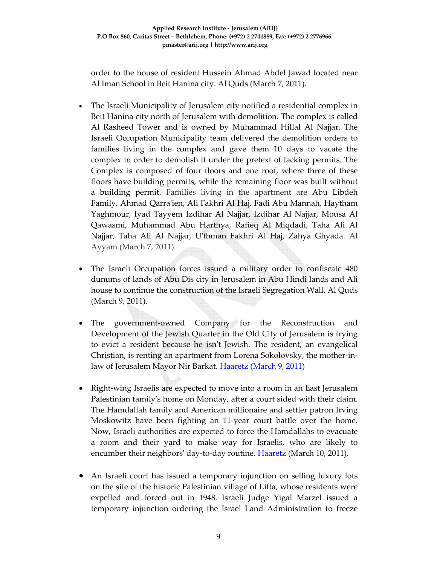order to the house of resident Hussein Ahmad Abdel Jawad located near Al Iman School in Beit Hanina city. Al Quds (March 7, 2011).

- The Israeli Municipality of Jerusalem city notified a residential complex in Beit Hanina city north of Jerusalem with demolition. The complex is called Al Rasheed Tower and is owned by Muhammad Hillal Al Najjar. The Israeli Occupation Municipality team delivered the demolition orders to families living in the complex and gave them 10 days to vacate the complex in order to demolish it under the pretext of lacking permits. The Complex is composed of four floors and one roof, where three of these floors have building permits, while the remaining floor was built without a building permit. Families living in the apartment are Abu Libdeh Family, Ahmad Qarraʹien, Ali Fakhri Al Haj, Fadi Abu Mannah, Haytham Yaghmour, Iyad Tayyem Izdihar Al Najjar, Izdihar Al Najjar, Mousa Al Qawasmi, Muhammad Abu Harthya, Rafieq Al Miqdadi, Taha Ali Al Najjar, Taha Ali Al Najjar, Uʹthman Fakhri Al Haj, Zahya Ghyada. Al Ayyam (March 7, 2011).
- The Israeli Occupation forces issued a military order to confiscate 480 dunums of lands of Abu Dis city in Jerusalem in Abu Hindi lands and Ali house to continue the construction of the Israeli Segregation Wall. Al Quds (March 9, 2011).
- The government‐owned Company for the Reconstruction and Development of the Jewish Quarter in the Old City of Jerusalem is trying to evict a resident because he isnʹt Jewish. The resident, an evangelical Christian, is renting an apartment from Lorena Sokolovsky, the mother‐in‐ law of Jerusalem Mayor Nir Barkat. Haaretz (March 9, 2011)
- Right-wing Israelis are expected to move into a room in an East Jerusalem Palestinian familyʹs home on Monday, after a court sided with their claim. The Hamdallah family and American millionaire and settler patron Irving Moskowitz have been fighting an 11‐year court battle over the home. Now, Israeli authorities are expected to force the Hamdallahs to evacuate a room and their yard to make way for Israelis, who are likely to encumber their neighbors' day-to-day routine. *Haaretz* (March 10, 2011).
- An Israeli court has issued a temporary injunction on selling luxury lots on the site of the historic Palestinian village of Lifta, whose residents were expelled and forced out in 1948. Israeli Judge Yigal Marzel issued a temporary injunction ordering the Israel Land Administration to freeze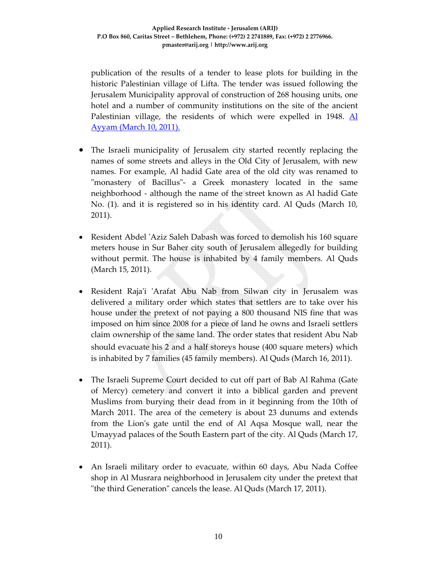publication of the results of a tender to lease plots for building in the historic Palestinian village of Lifta. The tender was issued following the Jerusalem Municipality approval of construction of 268 housing units, one hotel and a number of community institutions on the site of the ancient Palestinian village, the residents of which were expelled in 1948. Al Ayyam (March 10, 2011).

- The Israeli municipality of Jerusalem city started recently replacing the names of some streets and alleys in the Old City of Jerusalem, with new names. For example, Al hadid Gate area of the old city was renamed to "monastery of Bacillus"- a Greek monastery located in the same neighborhood ‐ although the name of the street known as Al hadid Gate No. (1). and it is registered so in his identity card. Al Quds (March 10, 2011).
- Resident Abdel 'Aziz Saleh Dabash was forced to demolish his 160 square meters house in Sur Baher city south of Jerusalem allegedly for building without permit. The house is inhabited by 4 family members. Al Quds (March 15, 2011).
- Resident Raja'i 'Arafat Abu Nab from Silwan city in Jerusalem was delivered a military order which states that settlers are to take over his house under the pretext of not paying a 800 thousand NIS fine that was imposed on him since 2008 for a piece of land he owns and Israeli settlers claim ownership of the same land. The order states that resident Abu Nab should evacuate his 2 and a half storeys house (400 square meters) which is inhabited by 7 families (45 family members). Al Quds (March 16, 2011).
- The Israeli Supreme Court decided to cut off part of Bab Al Rahma (Gate of Mercy) cemetery and convert it into a biblical garden and prevent Muslims from burying their dead from in it beginning from the 10th of March 2011. The area of the cemetery is about 23 dunums and extends from the Lionʹs gate until the end of Al Aqsa Mosque wall, near the Umayyad palaces of the South Eastern part of the city. Al Quds (March 17, 2011).
- An Israeli military order to evacuate, within 60 days, Abu Nada Coffee shop in Al Musrara neighborhood in Jerusalem city under the pretext that "the third Generation" cancels the lease. Al Quds (March 17, 2011).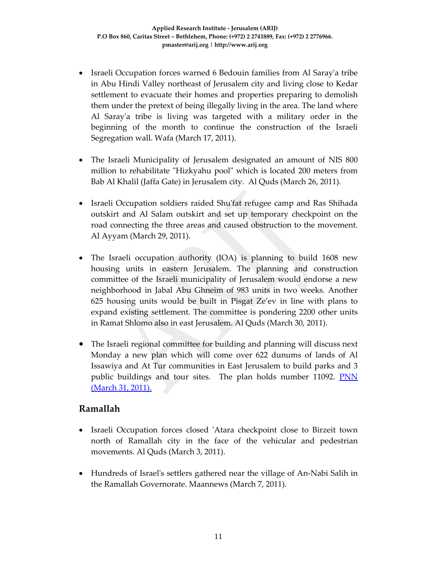- Israeli Occupation forces warned 6 Bedouin families from Al Saray'a tribe in Abu Hindi Valley northeast of Jerusalem city and living close to Kedar settlement to evacuate their homes and properties preparing to demolish them under the pretext of being illegally living in the area. The land where Al Saray'a tribe is living was targeted with a military order in the beginning of the month to continue the construction of the Israeli Segregation wall. Wafa (March 17, 2011).
- The Israeli Municipality of Jerusalem designated an amount of NIS 800 million to rehabilitate "Hizkyahu pool" which is located 200 meters from Bab Al Khalil (Jaffa Gate) in Jerusalem city. Al Quds (March 26, 2011).
- Israeli Occupation soldiers raided Shu'fat refugee camp and Ras Shihada outskirt and Al Salam outskirt and set up temporary checkpoint on the road connecting the three areas and caused obstruction to the movement. Al Ayyam (March 29, 2011).
- The Israeli occupation authority (IOA) is planning to build 1608 new housing units in eastern Jerusalem. The planning and construction committee of the Israeli municipality of Jerusalem would endorse a new neighborhood in Jabal Abu Ghneim of 983 units in two weeks. Another 625 housing units would be built in Pisgat Ze'ev in line with plans to expand existing settlement. The committee is pondering 2200 other units in Ramat Shlomo also in east Jerusalem. Al Quds (March 30, 2011).
- The Israeli regional committee for building and planning will discuss next Monday a new plan which will come over 622 dunums of lands of Al Issawiya and At Tur communities in East Jerusalem to build parks and 3 public buildings and tour sites. The plan holds number 11092. PNN (March 31, 2011).

### **Ramallah**

- Israeli Occupation forces closed 'Atara checkpoint close to Birzeit town north of Ramallah city in the face of the vehicular and pedestrian movements. Al Quds (March 3, 2011).
- Hundreds of Israelʹs settlers gathered near the village of An‐Nabi Salih in the Ramallah Governorate. Maannews (March 7, 2011).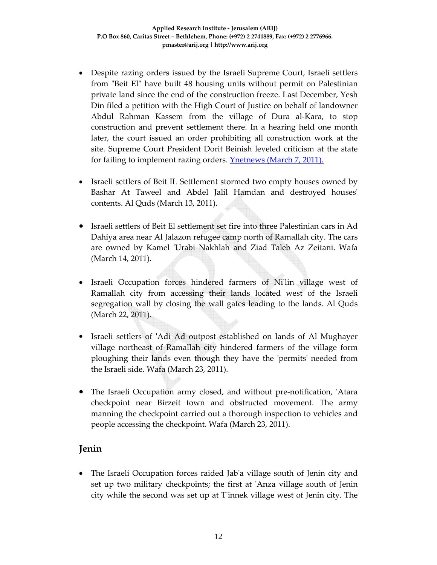- Despite razing orders issued by the Israeli Supreme Court, Israeli settlers from "Beit El" have built 48 housing units without permit on Palestinian private land since the end of the construction freeze. Last December, Yesh Din filed a petition with the High Court of Justice on behalf of landowner Abdul Rahman Kassem from the village of Dura al‐Kara, to stop construction and prevent settlement there. In a hearing held one month later, the court issued an order prohibiting all construction work at the site. Supreme Court President Dorit Beinish leveled criticism at the state for failing to implement razing orders. **Ynetnews** (March 7, 2011).
- Israeli settlers of Beit IL Settlement stormed two empty houses owned by Bashar At Taweel and Abdel Jalil Hamdan and destroyed houses' contents. Al Quds (March 13, 2011).
- Israeli settlers of Beit El settlement set fire into three Palestinian cars in Ad Dahiya area near Al Jalazon refugee camp north of Ramallah city. The cars are owned by Kamel 'Urabi Nakhlah and Ziad Taleb Az Zeitani. Wafa (March 14, 2011).
- Israeli Occupation forces hindered farmers of Niʹlin village west of Ramallah city from accessing their lands located west of the Israeli segregation wall by closing the wall gates leading to the lands. Al Quds (March 22, 2011).
- Israeli settlers of 'Adi Ad outpost established on lands of Al Mughayer village northeast of Ramallah city hindered farmers of the village form ploughing their lands even though they have the ʹpermitsʹ needed from the Israeli side. Wafa (March 23, 2011).
- The Israeli Occupation army closed, and without pre-notification, 'Atara checkpoint near Birzeit town and obstructed movement. The army manning the checkpoint carried out a thorough inspection to vehicles and people accessing the checkpoint. Wafa (March 23, 2011).

### **Jenin**

• The Israeli Occupation forces raided Jabʹa village south of Jenin city and set up two military checkpoints; the first at ʹAnza village south of Jenin city while the second was set up at Tʹinnek village west of Jenin city. The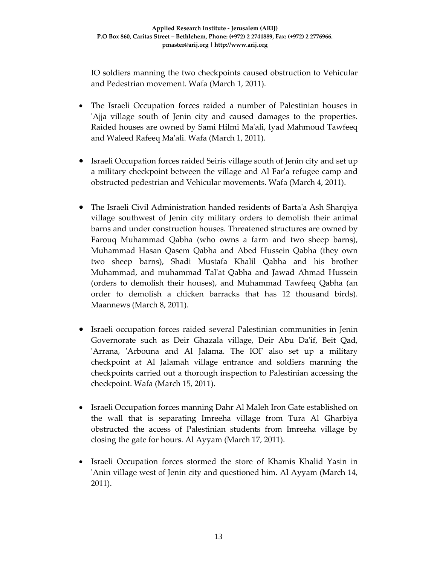IO soldiers manning the two checkpoints caused obstruction to Vehicular and Pedestrian movement. Wafa (March 1, 2011).

- The Israeli Occupation forces raided a number of Palestinian houses in ʹAjja village south of Jenin city and caused damages to the properties. Raided houses are owned by Sami Hilmi Maʹali, Iyad Mahmoud Tawfeeq and Waleed Rafeeq Maʹali. Wafa (March 1, 2011).
- Israeli Occupation forces raided Seiris village south of Jenin city and set up a military checkpoint between the village and Al Farʹa refugee camp and obstructed pedestrian and Vehicular movements. Wafa (March 4, 2011).
- The Israeli Civil Administration handed residents of Barta'a Ash Sharqiya village southwest of Jenin city military orders to demolish their animal barns and under construction houses. Threatened structures are owned by Farouq Muhammad Qabha (who owns a farm and two sheep barns), Muhammad Hasan Qasem Qabha and Abed Hussein Qabha (they own two sheep barns), Shadi Mustafa Khalil Qabha and his brother Muhammad, and muhammad Talʹat Qabha and Jawad Ahmad Hussein (orders to demolish their houses), and Muhammad Tawfeeq Qabha (an order to demolish a chicken barracks that has 12 thousand birds). Maannews (March 8, 2011).
- Israeli occupation forces raided several Palestinian communities in Jenin Governorate such as Deir Ghazala village, Deir Abu Da'if, Beit Qad, 'Arrana, 'Arbouna and Al Jalama. The IOF also set up a military checkpoint at Al Jalamah village entrance and soldiers manning the checkpoints carried out a thorough inspection to Palestinian accessing the checkpoint. Wafa (March 15, 2011).
- Israeli Occupation forces manning Dahr Al Maleh Iron Gate established on the wall that is separating Imreeha village from Tura Al Gharbiya obstructed the access of Palestinian students from Imreeha village by closing the gate for hours. Al Ayyam (March 17, 2011).
- Israeli Occupation forces stormed the store of Khamis Khalid Yasin in ʹAnin village west of Jenin city and questioned him. Al Ayyam (March 14, 2011).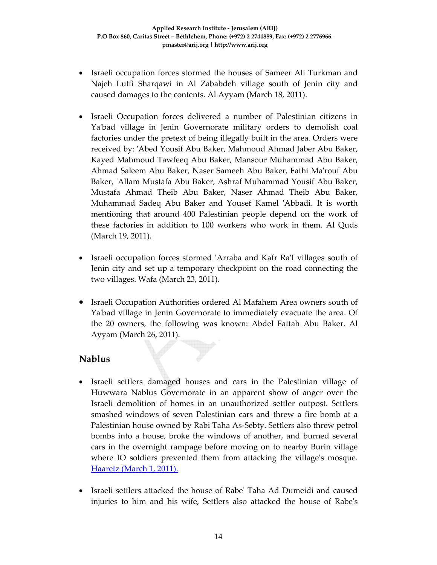- Israeli occupation forces stormed the houses of Sameer Ali Turkman and Najeh Lutfi Sharqawi in Al Zababdeh village south of Jenin city and caused damages to the contents. Al Ayyam (March 18, 2011).
- Israeli Occupation forces delivered a number of Palestinian citizens in Ya'bad village in Jenin Governorate military orders to demolish coal factories under the pretext of being illegally built in the area. Orders were received by: 'Abed Yousif Abu Baker, Mahmoud Ahmad Jaber Abu Baker, Kayed Mahmoud Tawfeeq Abu Baker, Mansour Muhammad Abu Baker, Ahmad Saleem Abu Baker, Naser Sameeh Abu Baker, Fathi Maʹrouf Abu Baker, ʹAllam Mustafa Abu Baker, Ashraf Muhammad Yousif Abu Baker, Mustafa Ahmad Theib Abu Baker, Naser Ahmad Theib Abu Baker, Muhammad Sadeq Abu Baker and Yousef Kamel ʹAbbadi. It is worth mentioning that around 400 Palestinian people depend on the work of these factories in addition to 100 workers who work in them. Al Quds (March 19, 2011).
- Israeli occupation forces stormed 'Arraba and Kafr Ra'I villages south of Jenin city and set up a temporary checkpoint on the road connecting the two villages. Wafa (March 23, 2011).
- Israeli Occupation Authorities ordered Al Mafahem Area owners south of Ya'bad village in Jenin Governorate to immediately evacuate the area. Of the 20 owners, the following was known: Abdel Fattah Abu Baker. Al Ayyam (March 26, 2011).

### **Nablus**

- Israeli settlers damaged houses and cars in the Palestinian village of Huwwara Nablus Governorate in an apparent show of anger over the Israeli demolition of homes in an unauthorized settler outpost. Settlers smashed windows of seven Palestinian cars and threw a fire bomb at a Palestinian house owned by Rabi Taha As‐Sebty. Settlers also threw petrol bombs into a house, broke the windows of another, and burned several cars in the overnight rampage before moving on to nearby Burin village where IO soldiers prevented them from attacking the village's mosque. Haaretz (March 1, 2011).
- Israeli settlers attacked the house of Rabeʹ Taha Ad Dumeidi and caused injuries to him and his wife, Settlers also attacked the house of Rabeʹs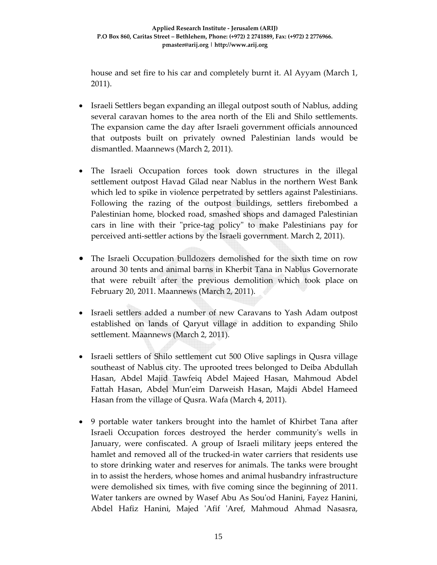house and set fire to his car and completely burnt it. Al Ayyam (March 1, 2011).

- Israeli Settlers began expanding an illegal outpost south of Nablus, adding several caravan homes to the area north of the Eli and Shilo settlements. The expansion came the day after Israeli government officials announced that outposts built on privately owned Palestinian lands would be dismantled. Maannews (March 2, 2011).
- The Israeli Occupation forces took down structures in the illegal settlement outpost Havad Gilad near Nablus in the northern West Bank which led to spike in violence perpetrated by settlers against Palestinians. Following the razing of the outpost buildings, settlers firebombed a Palestinian home, blocked road, smashed shops and damaged Palestinian cars in line with their "price-tag policy" to make Palestinians pay for perceived anti‐settler actions by the Israeli government. March 2, 2011).
- The Israeli Occupation bulldozers demolished for the sixth time on row around 30 tents and animal barns in Kherbit Tana in Nablus Governorate that were rebuilt after the previous demolition which took place on February 20, 2011. Maannews (March 2, 2011).
- Israeli settlers added a number of new Caravans to Yash Adam outpost established on lands of Qaryut village in addition to expanding Shilo settlement. Maannews (March 2, 2011).
- Israeli settlers of Shilo settlement cut 500 Olive saplings in Qusra village southeast of Nablus city. The uprooted trees belonged to Deiba Abdullah Hasan, Abdel Majid Tawfeiq Abdel Majeed Hasan, Mahmoud Abdel Fattah Hasan, Abdel Mun'eim Darweish Hasan, Majdi Abdel Hameed Hasan from the village of Qusra. Wafa (March 4, 2011).
- 9 portable water tankers brought into the hamlet of Khirbet Tana after Israeli Occupation forces destroyed the herder communityʹs wells in January, were confiscated. A group of Israeli military jeeps entered the hamlet and removed all of the trucked-in water carriers that residents use to store drinking water and reserves for animals. The tanks were brought in to assist the herders, whose homes and animal husbandry infrastructure were demolished six times, with five coming since the beginning of 2011. Water tankers are owned by Wasef Abu As Souʹod Hanini, Fayez Hanini, Abdel Hafiz Hanini, Majed ʹAfif ʹAref, Mahmoud Ahmad Nasasra,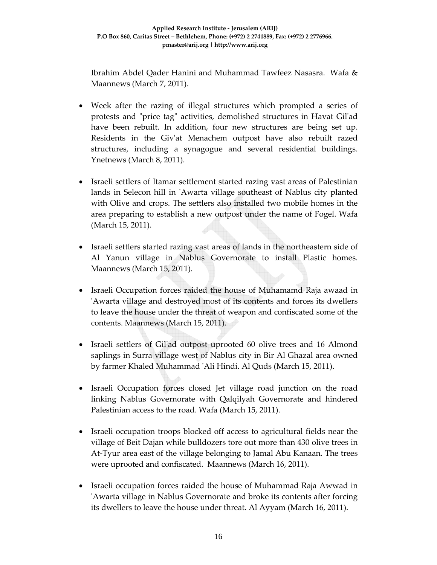Ibrahim Abdel Qader Hanini and Muhammad Tawfeez Nasasra. Wafa & Maannews (March 7, 2011).

- Week after the razing of illegal structures which prompted a series of protests and "price tag" activities, demolished structures in Havat Gil'ad have been rebuilt. In addition, four new structures are being set up. Residents in the Givʹat Menachem outpost have also rebuilt razed structures, including a synagogue and several residential buildings. Ynetnews (March 8, 2011).
- Israeli settlers of Itamar settlement started razing vast areas of Palestinian lands in Selecon hill in 'Awarta village southeast of Nablus city planted with Olive and crops. The settlers also installed two mobile homes in the area preparing to establish a new outpost under the name of Fogel. Wafa (March 15, 2011).
- Israeli settlers started razing vast areas of lands in the northeastern side of Al Yanun village in Nablus Governorate to install Plastic homes. Maannews (March 15, 2011).
- Israeli Occupation forces raided the house of Muhamamd Raja awaad in ʹAwarta village and destroyed most of its contents and forces its dwellers to leave the house under the threat of weapon and confiscated some of the contents. Maannews (March 15, 2011).
- Israeli settlers of Gilʹad outpost uprooted 60 olive trees and 16 Almond saplings in Surra village west of Nablus city in Bir Al Ghazal area owned by farmer Khaled Muhammad ʹAli Hindi. Al Quds (March 15, 2011).
- Israeli Occupation forces closed Jet village road junction on the road linking Nablus Governorate with Qalqilyah Governorate and hindered Palestinian access to the road. Wafa (March 15, 2011).
- Israeli occupation troops blocked off access to agricultural fields near the village of Beit Dajan while bulldozers tore out more than 430 olive trees in At‐Tyur area east of the village belonging to Jamal Abu Kanaan. The trees were uprooted and confiscated. Maannews (March 16, 2011).
- Israeli occupation forces raided the house of Muhammad Raja Awwad in ʹAwarta village in Nablus Governorate and broke its contents after forcing its dwellers to leave the house under threat. Al Ayyam (March 16, 2011).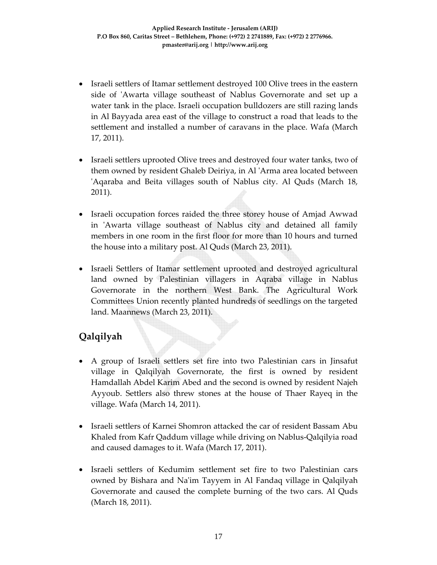- Israeli settlers of Itamar settlement destroyed 100 Olive trees in the eastern side of 'Awarta village southeast of Nablus Governorate and set up a water tank in the place. Israeli occupation bulldozers are still razing lands in Al Bayyada area east of the village to construct a road that leads to the settlement and installed a number of caravans in the place. Wafa (March 17, 2011).
- Israeli settlers uprooted Olive trees and destroyed four water tanks, two of them owned by resident Ghaleb Deiriya, in Al ʹArma area located between ʹAqaraba and Beita villages south of Nablus city. Al Quds (March 18, 2011).
- Israeli occupation forces raided the three storey house of Amjad Awwad in 'Awarta village southeast of Nablus city and detained all family members in one room in the first floor for more than 10 hours and turned the house into a military post. Al Quds (March 23, 2011).
- Israeli Settlers of Itamar settlement uprooted and destroyed agricultural land owned by Palestinian villagers in Aqraba village in Nablus Governorate in the northern West Bank. The Agricultural Work Committees Union recently planted hundreds of seedlings on the targeted land. Maannews (March 23, 2011).

# **Qalqilyah**

- A group of Israeli settlers set fire into two Palestinian cars in Jinsafut village in Qalqilyah Governorate, the first is owned by resident Hamdallah Abdel Karim Abed and the second is owned by resident Najeh Ayyoub. Settlers also threw stones at the house of Thaer Rayeq in the village. Wafa (March 14, 2011).
- Israeli settlers of Karnei Shomron attacked the car of resident Bassam Abu Khaled from Kafr Qaddum village while driving on Nablus‐Qalqilyia road and caused damages to it. Wafa (March 17, 2011).
- Israeli settlers of Kedumim settlement set fire to two Palestinian cars owned by Bishara and Naʹim Tayyem in Al Fandaq village in Qalqilyah Governorate and caused the complete burning of the two cars. Al Quds (March 18, 2011).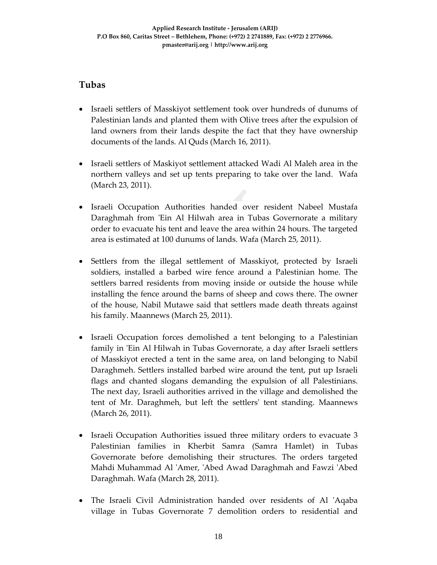## **Tubas**

- Israeli settlers of Masskiyot settlement took over hundreds of dunums of Palestinian lands and planted them with Olive trees after the expulsion of land owners from their lands despite the fact that they have ownership documents of the lands. Al Quds (March 16, 2011).
- Israeli settlers of Maskiyot settlement attacked Wadi Al Maleh area in the northern valleys and set up tents preparing to take over the land. Wafa (March 23, 2011).
- Israeli Occupation Authorities handed over resident Nabeel Mustafa Daraghmah from 'Ein Al Hilwah area in Tubas Governorate a military order to evacuate his tent and leave the area within 24 hours. The targeted area is estimated at 100 dunums of lands. Wafa (March 25, 2011).
- Settlers from the illegal settlement of Masskiyot, protected by Israeli soldiers, installed a barbed wire fence around a Palestinian home. The settlers barred residents from moving inside or outside the house while installing the fence around the barns of sheep and cows there. The owner of the house, Nabil Mutawe said that settlers made death threats against his family. Maannews (March 25, 2011).
- Israeli Occupation forces demolished a tent belonging to a Palestinian family in 'Ein Al Hilwah in Tubas Governorate, a day after Israeli settlers of Masskiyot erected a tent in the same area, on land belonging to Nabil Daraghmeh. Settlers installed barbed wire around the tent, put up Israeli flags and chanted slogans demanding the expulsion of all Palestinians. The next day, Israeli authorities arrived in the village and demolished the tent of Mr. Daraghmeh, but left the settlersʹ tent standing. Maannews (March 26, 2011).
- Israeli Occupation Authorities issued three military orders to evacuate 3 Palestinian families in Kherbit Samra (Samra Hamlet) in Tubas Governorate before demolishing their structures. The orders targeted Mahdi Muhammad Al ʹAmer, ʹAbed Awad Daraghmah and Fawzi ʹAbed Daraghmah. Wafa (March 28, 2011).
- The Israeli Civil Administration handed over residents of Al 'Aqaba village in Tubas Governorate 7 demolition orders to residential and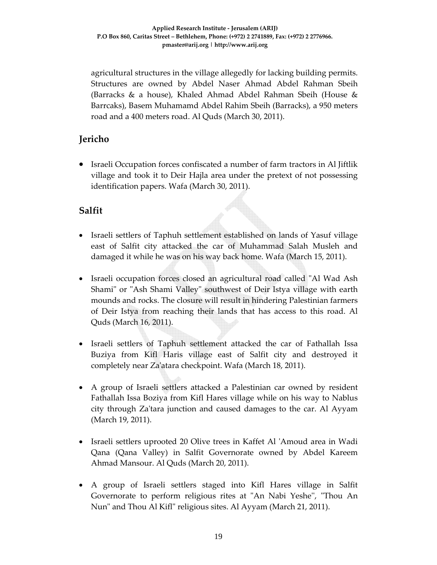agricultural structures in the village allegedly for lacking building permits. Structures are owned by Abdel Naser Ahmad Abdel Rahman Sbeih (Barracks & a house), Khaled Ahmad Abdel Rahman Sbeih (House & Barrcaks), Basem Muhamamd Abdel Rahim Sbeih (Barracks), a 950 meters road and a 400 meters road. Al Quds (March 30, 2011).

## **Jericho**

• Israeli Occupation forces confiscated a number of farm tractors in Al Jiftlik village and took it to Deir Hajla area under the pretext of not possessing identification papers. Wafa (March 30, 2011).

# **Salfit**

- Israeli settlers of Taphuh settlement established on lands of Yasuf village east of Salfit city attacked the car of Muhammad Salah Musleh and damaged it while he was on his way back home. Wafa (March 15, 2011).
- Israeli occupation forces closed an agricultural road called "Al Wad Ash Shami" or "Ash Shami Valley" southwest of Deir Istya village with earth mounds and rocks. The closure will result in hindering Palestinian farmers of Deir Istya from reaching their lands that has access to this road. Al Quds (March 16, 2011).
- Israeli settlers of Taphuh settlement attacked the car of Fathallah Issa Buziya from Kifl Haris village east of Salfit city and destroyed it completely near Zaʹatara checkpoint. Wafa (March 18, 2011).
- A group of Israeli settlers attacked a Palestinian car owned by resident Fathallah Issa Boziya from Kifl Hares village while on his way to Nablus city through Zaʹtara junction and caused damages to the car. Al Ayyam (March 19, 2011).
- Israeli settlers uprooted 20 Olive trees in Kaffet Al 'Amoud area in Wadi Qana (Qana Valley) in Salfit Governorate owned by Abdel Kareem Ahmad Mansour. Al Quds (March 20, 2011).
- A group of Israeli settlers staged into Kifl Hares village in Salfit Governorate to perform religious rites at "An Nabi Yeshe", "Thou An Nun" and Thou Al Kifl" religious sites. Al Ayyam (March 21, 2011).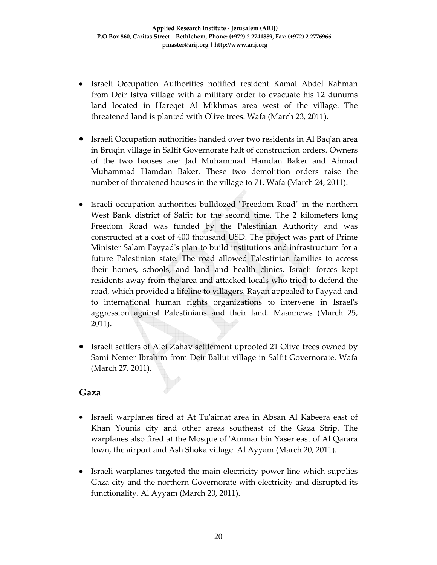- Israeli Occupation Authorities notified resident Kamal Abdel Rahman from Deir Istya village with a military order to evacuate his 12 dunums land located in Hareqet Al Mikhmas area west of the village. The threatened land is planted with Olive trees. Wafa (March 23, 2011).
- Israeli Occupation authorities handed over two residents in Al Baq'an area in Bruqin village in Salfit Governorate halt of construction orders. Owners of the two houses are: Jad Muhammad Hamdan Baker and Ahmad Muhammad Hamdan Baker. These two demolition orders raise the number of threatened houses in the village to 71. Wafa (March 24, 2011).
- Israeli occupation authorities bulldozed "Freedom Road" in the northern West Bank district of Salfit for the second time. The 2 kilometers long Freedom Road was funded by the Palestinian Authority and was constructed at a cost of 400 thousand USD. The project was part of Prime Minister Salam Fayyadʹs plan to build institutions and infrastructure for a future Palestinian state. The road allowed Palestinian families to access their homes, schools, and land and health clinics. Israeli forces kept residents away from the area and attacked locals who tried to defend the road, which provided a lifeline to villagers. Rayan appealed to Fayyad and to international human rights organizations to intervene in Israelʹs aggression against Palestinians and their land. Maannews (March 25, 2011).
- Israeli settlers of Alei Zahav settlement uprooted 21 Olive trees owned by Sami Nemer Ibrahim from Deir Ballut village in Salfit Governorate. Wafa (March 27, 2011).

#### **Gaza**

- Israeli warplanes fired at At Tu'aimat area in Absan Al Kabeera east of Khan Younis city and other areas southeast of the Gaza Strip. The warplanes also fired at the Mosque of ʹAmmar bin Yaser east of Al Qarara town, the airport and Ash Shoka village. Al Ayyam (March 20, 2011).
- Israeli warplanes targeted the main electricity power line which supplies Gaza city and the northern Governorate with electricity and disrupted its functionality. Al Ayyam (March 20, 2011).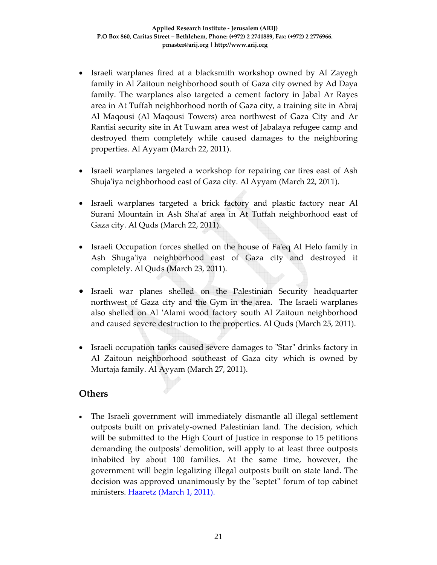- Israeli warplanes fired at a blacksmith workshop owned by Al Zayegh family in Al Zaitoun neighborhood south of Gaza city owned by Ad Daya family. The warplanes also targeted a cement factory in Jabal Ar Rayes area in At Tuffah neighborhood north of Gaza city, a training site in Abraj Al Maqousi (Al Maqousi Towers) area northwest of Gaza City and Ar Rantisi security site in At Tuwam area west of Jabalaya refugee camp and destroyed them completely while caused damages to the neighboring properties. Al Ayyam (March 22, 2011).
- Israeli warplanes targeted a workshop for repairing car tires east of Ash Shuja'iya neighborhood east of Gaza city. Al Ayyam (March 22, 2011).
- Israeli warplanes targeted a brick factory and plastic factory near Al Surani Mountain in Ash Shaʹaf area in At Tuffah neighborhood east of Gaza city. Al Quds (March 22, 2011).
- Israeli Occupation forces shelled on the house of Fa'eq Al Helo family in Ash Shuga'iya neighborhood east of Gaza city and destroyed it completely. Al Quds (March 23, 2011).
- Israeli war planes shelled on the Palestinian Security headquarter northwest of Gaza city and the Gym in the area. The Israeli warplanes also shelled on Al 'Alami wood factory south Al Zaitoun neighborhood and caused severe destruction to the properties. Al Quds (March 25, 2011).
- Israeli occupation tanks caused severe damages to "Star" drinks factory in Al Zaitoun neighborhood southeast of Gaza city which is owned by Murtaja family. Al Ayyam (March 27, 2011).

### **Others**

• The Israeli government will immediately dismantle all illegal settlement outposts built on privately‐owned Palestinian land. The decision, which will be submitted to the High Court of Justice in response to 15 petitions demanding the outpostsʹ demolition, will apply to at least three outposts inhabited by about 100 families. At the same time, however, the government will begin legalizing illegal outposts built on state land. The decision was approved unanimously by the "septet" forum of top cabinet ministers. Haaretz (March 1, 2011).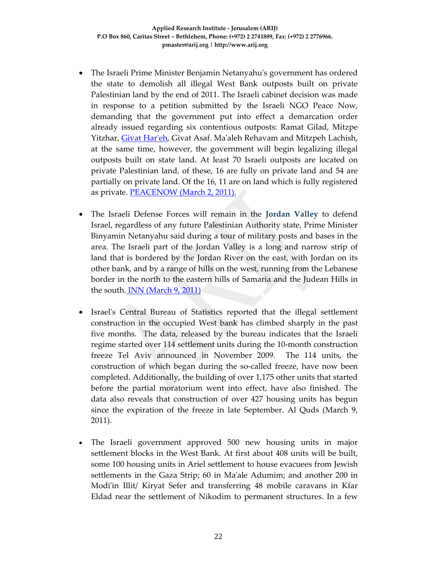- The Israeli Prime Minister Benjamin Netanyahu's government has ordered the state to demolish all illegal West Bank outposts built on private Palestinian land by the end of 2011. The Israeli cabinet decision was made in response to a petition submitted by the Israeli NGO Peace Now, demanding that the government put into effect a demarcation order already issued regarding six contentious outposts: Ramat Gilad, Mitzpe Yitzhar, Givat Har'eh, Givat Asaf. Ma'aleh Rehavam and Mitzpeh Lachish, at the same time, however, the government will begin legalizing illegal outposts built on state land. At least 70 Israeli outposts are located on private Palestinian land, of these, 16 are fully on private land and 54 are partially on private land. Of the 16, 11 are on land which is fully registered as private. **PEACENOW** (March 2, 2011).
- The Israeli Defense Forces will remain in the **Jordan Valley** to defend Israel, regardless of any future Palestinian Authority state, Prime Minister Binyamin Netanyahu said during a tour of military posts and bases in the area. The Israeli part of the Jordan Valley is a long and narrow strip of land that is bordered by the Jordan River on the east, with Jordan on its other bank, and by a range of hills on the west, running from the Lebanese border in the north to the eastern hills of Samaria and the Judean Hills in the south. INN (March 9, 2011)
- Israelʹs Central Bureau of Statistics reported that the illegal settlement construction in the occupied West bank has climbed sharply in the past five months. The data, released by the bureau indicates that the Israeli regime started over 114 settlement units during the 10‐month construction freeze Tel Aviv announced in November 2009. The 114 units, the construction of which began during the so-called freeze, have now been completed. Additionally, the building of over 1,175 other units that started before the partial moratorium went into effect, have also finished. The data also reveals that construction of over 427 housing units has begun since the expiration of the freeze in late September. Al Quds (March 9, 2011).
- The Israeli government approved 500 new housing units in major settlement blocks in the West Bank. At first about 408 units will be built, some 100 housing units in Ariel settlement to house evacuees from Jewish settlements in the Gaza Strip; 60 in Maʹale Adumim; and another 200 in Modi'in Illit/ Kiryat Sefer and transferring 48 mobile caravans in Kfar Eldad near the settlement of Nikodim to permanent structures. In a few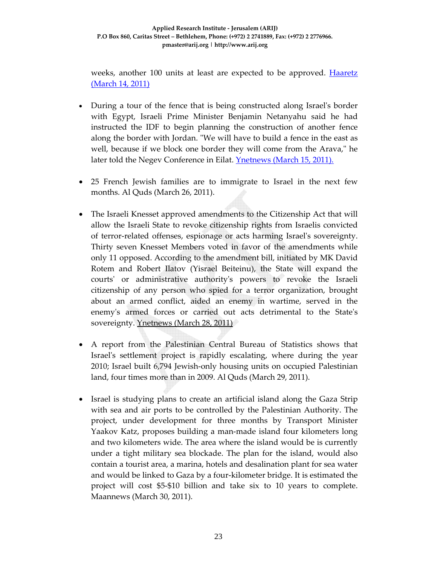weeks, another 100 units at least are expected to be approved. Haaretz (March 14, 2011)

- During a tour of the fence that is being constructed along Israel's border with Egypt, Israeli Prime Minister Benjamin Netanyahu said he had instructed the IDF to begin planning the construction of another fence along the border with Jordan. "We will have to build a fence in the east as well, because if we block one border they will come from the Arava," he later told the Negev Conference in Eilat. **Ynetnews** (March 15, 2011).
- 25 French Jewish families are to immigrate to Israel in the next few months. Al Quds (March 26, 2011).
- The Israeli Knesset approved amendments to the Citizenship Act that will allow the Israeli State to revoke citizenship rights from Israelis convicted of terror‐related offenses, espionage or acts harming Israelʹs sovereignty. Thirty seven Knesset Members voted in favor of the amendments while only 11 opposed. According to the amendment bill, initiated by MK David Rotem and Robert Ilatov (Yisrael Beiteinu), the State will expand the courtsʹ or administrative authorityʹs powers to revoke the Israeli citizenship of any person who spied for a terror organization, brought about an armed conflict, aided an enemy in wartime, served in the enemy's armed forces or carried out acts detrimental to the State's sovereignty. Ynetnews (March 28, 2011)
- A report from the Palestinian Central Bureau of Statistics shows that Israelʹs settlement project is rapidly escalating, where during the year 2010; Israel built 6,794 Jewish‐only housing units on occupied Palestinian land, four times more than in 2009. Al Quds (March 29, 2011).
- Israel is studying plans to create an artificial island along the Gaza Strip with sea and air ports to be controlled by the Palestinian Authority. The project, under development for three months by Transport Minister Yaakov Katz, proposes building a man‐made island four kilometers long and two kilometers wide. The area where the island would be is currently under a tight military sea blockade. The plan for the island, would also contain a tourist area, a marina, hotels and desalination plant for sea water and would be linked to Gaza by a four‐kilometer bridge. It is estimated the project will cost \$5‐\$10 billion and take six to 10 years to complete. Maannews (March 30, 2011).